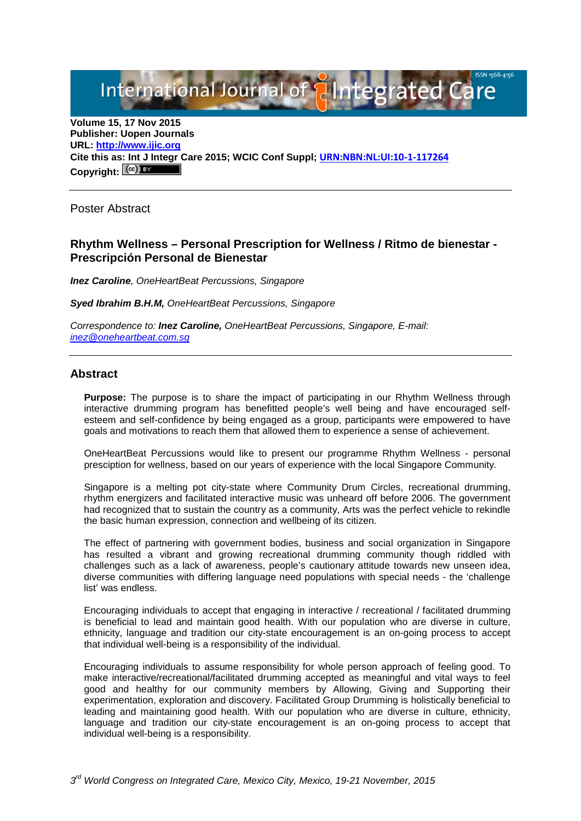International Journal of **Plantegrated Care** 

**Volume 15, 17 Nov 2015 Publisher: Uopen Journals URL: [http://www.ijic.org](http://www.ijic.org/) Cite this as: Int J Integr Care 2015; WCIC Conf Suppl; [URN:NBN:NL:UI:10-1-117264](http://persistent-identifier.nl/?identifier=URN:NBN:NL:UI:10-1-117264)** Copyright:  $(cc)$ 

Poster Abstract

## **Rhythm Wellness – Personal Prescription for Wellness / Ritmo de bienestar - Prescripción Personal de Bienestar**

*Inez Caroline, OneHeartBeat Percussions, Singapore*

*Syed Ibrahim B.H.M, OneHeartBeat Percussions, Singapore* 

*Correspondence to: Inez Caroline, OneHeartBeat Percussions, Singapore, E-mail: [inez@oneheartbeat.com.sg](mailto:inez@oneheartbeat.com.sg)*

### **Abstract**

**Purpose:** The purpose is to share the impact of participating in our Rhythm Wellness through interactive drumming program has benefitted people's well being and have encouraged selfesteem and self-confidence by being engaged as a group, participants were empowered to have goals and motivations to reach them that allowed them to experience a sense of achievement.

OneHeartBeat Percussions would like to present our programme Rhythm Wellness - personal presciption for wellness, based on our years of experience with the local Singapore Community.

Singapore is a melting pot city-state where Community Drum Circles, recreational drumming, rhythm energizers and facilitated interactive music was unheard off before 2006. The government had recognized that to sustain the country as a community, Arts was the perfect vehicle to rekindle the basic human expression, connection and wellbeing of its citizen.

The effect of partnering with government bodies, business and social organization in Singapore has resulted a vibrant and growing recreational drumming community though riddled with challenges such as a lack of awareness, people's cautionary attitude towards new unseen idea, diverse communities with differing language need populations with special needs - the 'challenge list' was endless.

Encouraging individuals to accept that engaging in interactive / recreational / facilitated drumming is beneficial to lead and maintain good health. With our population who are diverse in culture, ethnicity, language and tradition our city-state encouragement is an on-going process to accept that individual well-being is a responsibility of the individual.

Encouraging individuals to assume responsibility for whole person approach of feeling good. To make interactive/recreational/facilitated drumming accepted as meaningful and vital ways to feel good and healthy for our community members by Allowing, Giving and Supporting their experimentation, exploration and discovery. Facilitated Group Drumming is holistically beneficial to leading and maintaining good health. With our population who are diverse in culture, ethnicity, language and tradition our city-state encouragement is an on-going process to accept that individual well-being is a responsibility.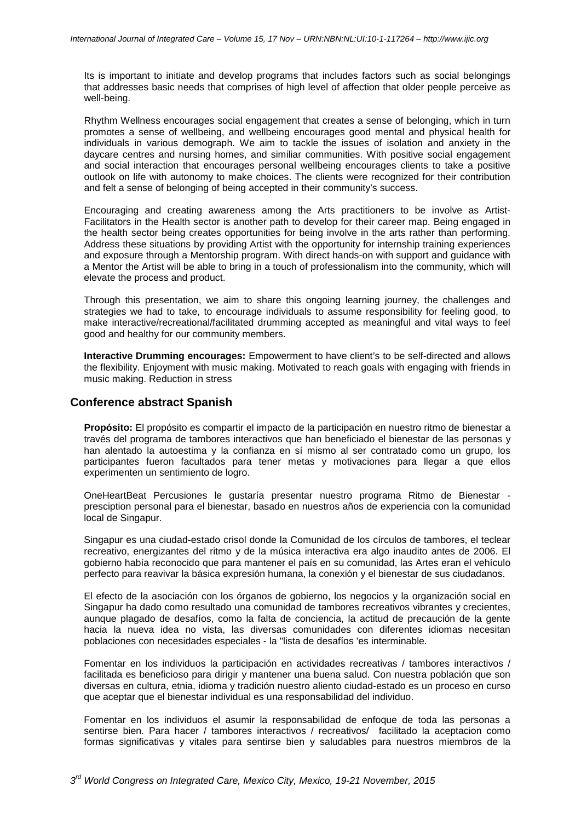Its is important to initiate and develop programs that includes factors such as social belongings that addresses basic needs that comprises of high level of affection that older people perceive as well-being.

Rhythm Wellness encourages social engagement that creates a sense of belonging, which in turn promotes a sense of wellbeing, and wellbeing encourages good mental and physical health for individuals in various demograph. We aim to tackle the issues of isolation and anxiety in the daycare centres and nursing homes, and similiar communities. With positive social engagement and social interaction that encourages personal wellbeing encourages clients to take a positive outlook on life with autonomy to make choices. The clients were recognized for their contribution and felt a sense of belonging of being accepted in their community's success.

Encouraging and creating awareness among the Arts practitioners to be involve as Artist-Facilitators in the Health sector is another path to develop for their career map. Being engaged in the health sector being creates opportunities for being involve in the arts rather than performing. Address these situations by providing Artist with the opportunity for internship training experiences and exposure through a Mentorship program. With direct hands-on with support and guidance with a Mentor the Artist will be able to bring in a touch of professionalism into the community, which will elevate the process and product.

Through this presentation, we aim to share this ongoing learning journey, the challenges and strategies we had to take, to encourage individuals to assume responsibility for feeling good, to make interactive/recreational/facilitated drumming accepted as meaningful and vital ways to feel good and healthy for our community members.

**Interactive Drumming encourages:** Empowerment to have client's to be self-directed and allows the flexibility. Enjoyment with music making. Motivated to reach goals with engaging with friends in music making. Reduction in stress

## **Conference abstract Spanish**

**Propósito:** El propósito es compartir el impacto de la participación en nuestro ritmo de bienestar a través del programa de tambores interactivos que han beneficiado el bienestar de las personas y han alentado la autoestima y la confianza en sí mismo al ser contratado como un grupo, los participantes fueron facultados para tener metas y motivaciones para llegar a que ellos experimenten un sentimiento de logro.

OneHeartBeat Percusiones le gustaría presentar nuestro programa Ritmo de Bienestar presciption personal para el bienestar, basado en nuestros años de experiencia con la comunidad local de Singapur.

Singapur es una ciudad-estado crisol donde la Comunidad de los círculos de tambores, el teclear recreativo, energizantes del ritmo y de la música interactiva era algo inaudito antes de 2006. El gobierno había reconocido que para mantener el país en su comunidad, las Artes eran el vehículo perfecto para reavivar la básica expresión humana, la conexión y el bienestar de sus ciudadanos.

El efecto de la asociación con los órganos de gobierno, los negocios y la organización social en Singapur ha dado como resultado una comunidad de tambores recreativos vibrantes y crecientes, aunque plagado de desafíos, como la falta de conciencia, la actitud de precaución de la gente hacia la nueva idea no vista, las diversas comunidades con diferentes idiomas necesitan poblaciones con necesidades especiales - la "lista de desafíos 'es interminable.

Fomentar en los individuos la participación en actividades recreativas / tambores interactivos / facilitada es beneficioso para dirigir y mantener una buena salud. Con nuestra población que son diversas en cultura, etnia, idioma y tradición nuestro aliento ciudad-estado es un proceso en curso que aceptar que el bienestar individual es una responsabilidad del individuo.

Fomentar en los individuos el asumir la responsabilidad de enfoque de toda las personas a sentirse bien. Para hacer / tambores interactivos / recreativos/ facilitado la aceptacion como formas significativas y vitales para sentirse bien y saludables para nuestros miembros de la